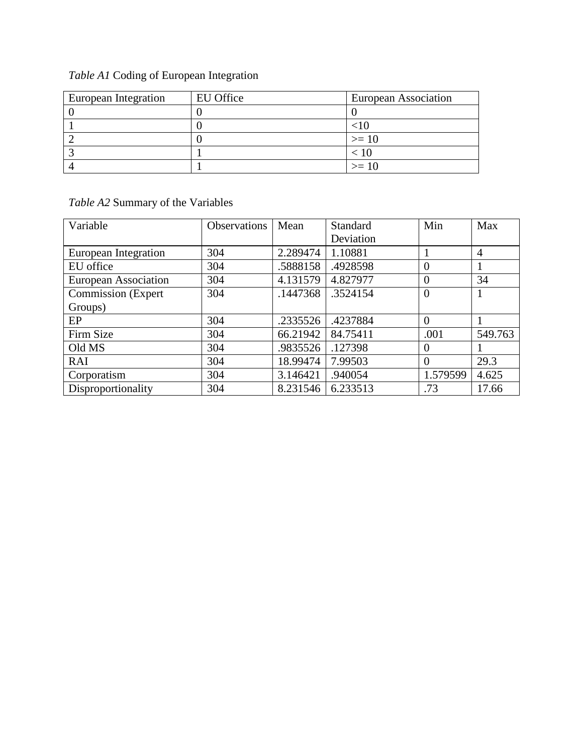## *Table A1* Coding of European Integration

| European Integration | EU Office | European Association |
|----------------------|-----------|----------------------|
|                      |           |                      |
|                      |           |                      |
|                      |           | $>= 10$              |
|                      |           |                      |
|                      |           | $>=10$               |

## *Table A2* Summary of the Variables

| Variable                    | <b>Observations</b> | Mean     | Standard  | Min            | Max            |
|-----------------------------|---------------------|----------|-----------|----------------|----------------|
|                             |                     |          | Deviation |                |                |
| European Integration        | 304                 | 2.289474 | 1.10881   |                | $\overline{4}$ |
| EU office                   | 304                 | .5888158 | .4928598  | $\overline{0}$ |                |
| <b>European Association</b> | 304                 | 4.131579 | 4.827977  | $\overline{0}$ | 34             |
| <b>Commission</b> (Expert   | 304                 | .1447368 | .3524154  | $\overline{0}$ |                |
| Groups)                     |                     |          |           |                |                |
| EP                          | 304                 | .2335526 | .4237884  | $\theta$       |                |
| Firm Size                   | 304                 | 66.21942 | 84.75411  | .001           | 549.763        |
| Old MS                      | 304                 | .9835526 | .127398   | $\overline{0}$ |                |
| RAI                         | 304                 | 18.99474 | 7.99503   | $\theta$       | 29.3           |
| Corporatism                 | 304                 | 3.146421 | .940054   | 1.579599       | 4.625          |
| Disproportionality          | 304                 | 8.231546 | 6.233513  | .73            | 17.66          |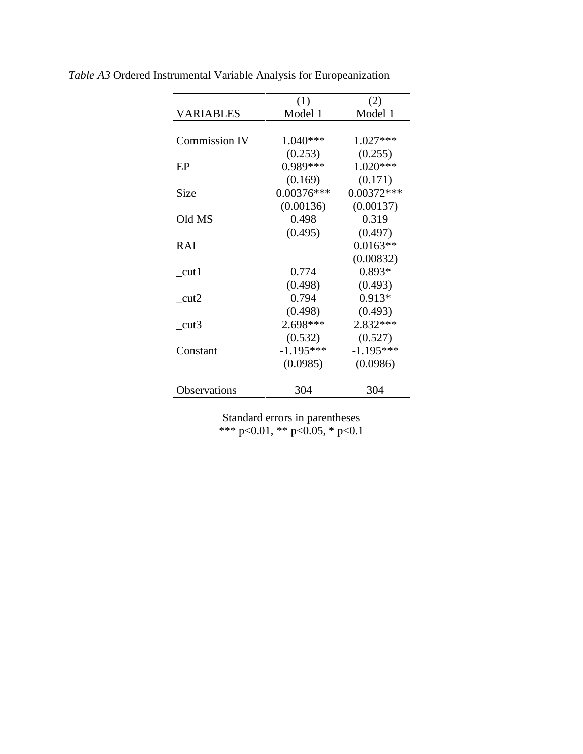|                      | (1)          | (2)          |
|----------------------|--------------|--------------|
| <b>VARIABLES</b>     | Model 1      | Model 1      |
|                      |              |              |
| <b>Commission IV</b> | $1.040***$   | $1.027***$   |
|                      | (0.253)      | (0.255)      |
| EP                   | 0.989***     | $1.020***$   |
|                      | (0.169)      | (0.171)      |
| Size                 | $0.00376***$ | $0.00372***$ |
|                      | (0.00136)    | (0.00137)    |
| Old MS               | 0.498        | 0.319        |
|                      | (0.495)      | (0.497)      |
| <b>RAI</b>           |              | $0.0163**$   |
|                      |              | (0.00832)    |
| $_{\text{cut}1}$     | 0.774        | $0.893*$     |
|                      | (0.498)      | (0.493)      |
| $_{\text{cut2}}$     | 0.794        | $0.913*$     |
|                      | (0.498)      | (0.493)      |
| cut3                 | 2.698***     | 2.832***     |
|                      | (0.532)      | (0.527)      |
| Constant             | $-1.195***$  | $-1.195***$  |
|                      | (0.0985)     | (0.0986)     |
| Observations         | 304          | 304          |

*Table A3* Ordered Instrumental Variable Analysis for Europeanization

Standard errors in parentheses \*\*\* p<0.01, \*\* p<0.05, \* p<0.1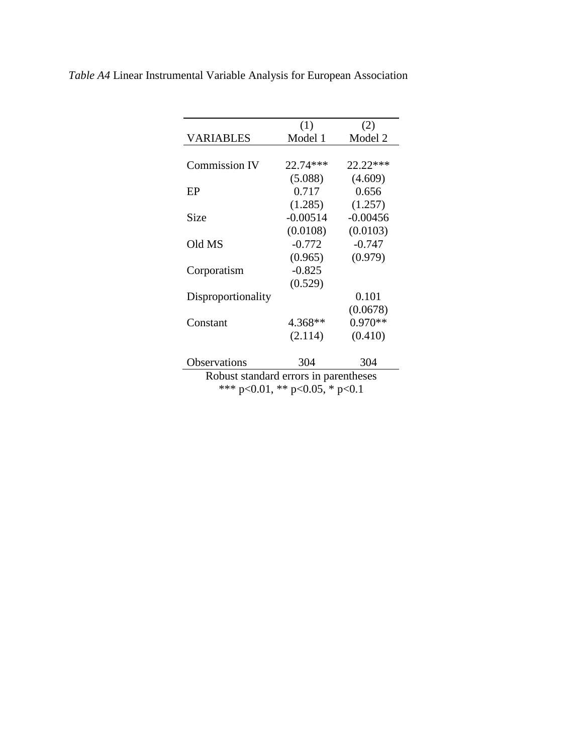|                                       | (1)        | (2)        |  |
|---------------------------------------|------------|------------|--|
| <b>VARIABLES</b>                      | Model 1    | Model 2    |  |
|                                       |            |            |  |
| <b>Commission IV</b>                  | 22.74***   | $22.22***$ |  |
|                                       | (5.088)    | (4.609)    |  |
| EP                                    | 0.717      | 0.656      |  |
|                                       | (1.285)    | (1.257)    |  |
| Size                                  | $-0.00514$ | $-0.00456$ |  |
|                                       | (0.0108)   | (0.0103)   |  |
| Old MS                                | $-0.772$   | $-0.747$   |  |
|                                       | (0.965)    | (0.979)    |  |
| Corporatism                           | $-0.825$   |            |  |
|                                       | (0.529)    |            |  |
| Disproportionality                    |            | 0.101      |  |
|                                       |            | (0.0678)   |  |
| Constant                              | 4.368**    | $0.970**$  |  |
|                                       | (2.114)    | (0.410)    |  |
|                                       |            |            |  |
| Observations                          | 304        | 304        |  |
| Robust standard errors in parentheses |            |            |  |
| *** p<0.01, ** p<0.05, * p<0.1        |            |            |  |
|                                       |            |            |  |

*Table A4* Linear Instrumental Variable Analysis for European Association